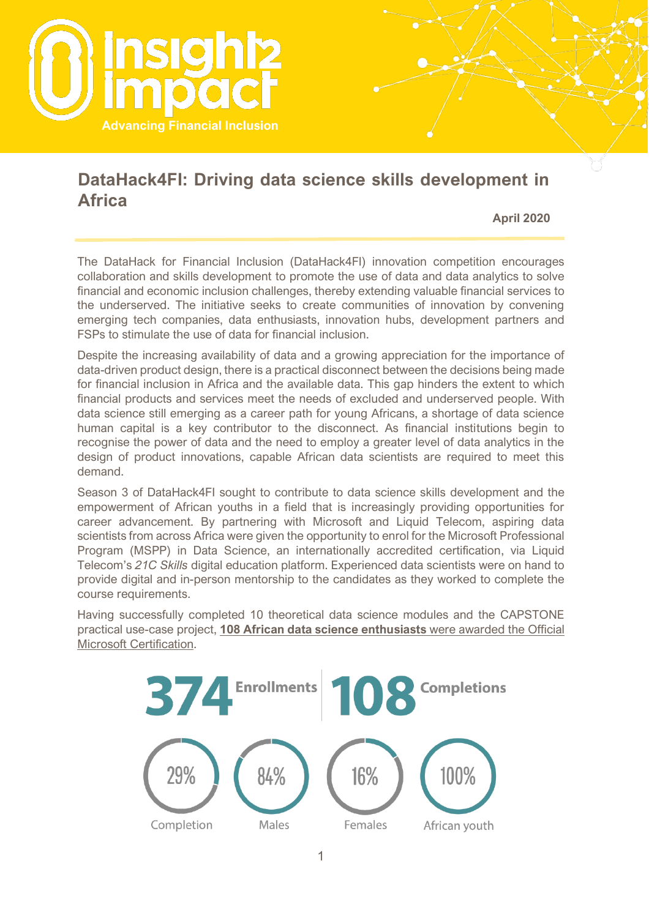

### **DataHack4FI: Driving data science skills development in Africa**

**April 2020**

The DataHack for Financial Inclusion (DataHack4FI) innovation competition encourages collaboration and skills development to promote the use of data and data analytics to solve financial and economic inclusion challenges, thereby extending valuable financial services to the underserved. The initiative seeks to create communities of innovation by convening emerging tech companies, data enthusiasts, innovation hubs, development partners and FSPs to stimulate the use of data for financial inclusion.

Despite the increasing availability of data and a growing appreciation for the importance of data-driven product design, there is a practical disconnect between the decisions being made for financial inclusion in Africa and the available data. This gap hinders the extent to which financial products and services meet the needs of excluded and underserved people. With data science still emerging as a career path for young Africans, a shortage of data science human capital is a key contributor to the disconnect. As financial institutions begin to recognise the power of data and the need to employ a greater level of data analytics in the design of product innovations, capable African data scientists are required to meet this demand.

Season 3 of DataHack4FI sought to contribute to data science skills development and the empowerment of African youths in a field that is increasingly providing opportunities for career advancement. By partnering with Microsoft and Liquid Telecom, aspiring data scientists from across Africa were given the opportunity to enrol for the Microsoft Professional Program (MSPP) in Data Science, an internationally accredited certification, via Liquid Telecom's *21C Skills* digital education platform. Experienced data scientists were on hand to provide digital and in-person mentorship to the candidates as they worked to complete the course requirements.

Having successfully completed 10 theoretical data science modules and the CAPSTONE practical use-case project, **108 African data science enthusiasts** were awarded the Official Microsoft Certification.

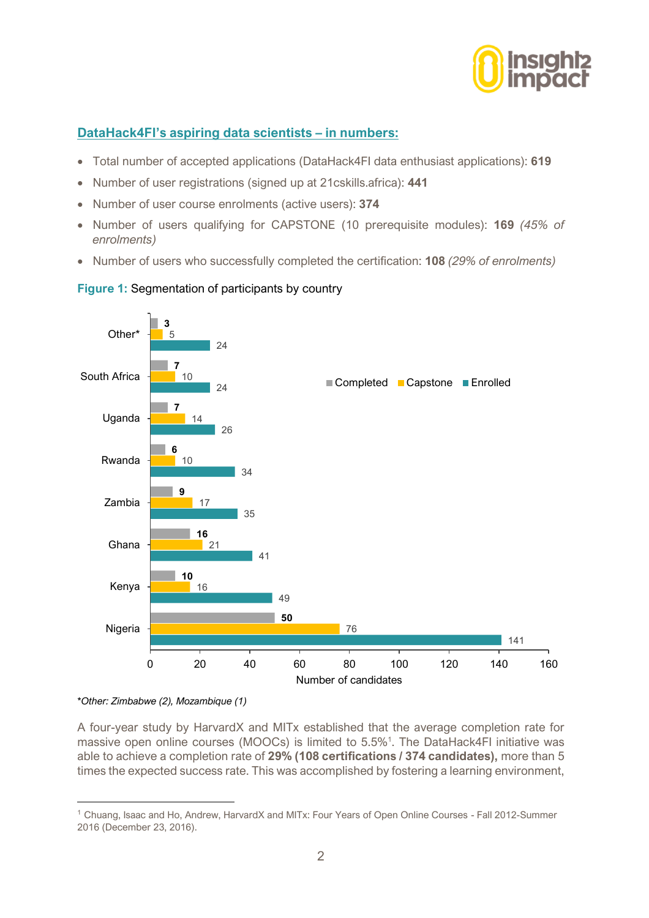

#### **DataHack4FI's aspiring data scientists – in numbers:**

- Total number of accepted applications (DataHack4FI data enthusiast applications): **619**
- Number of user registrations (signed up at 21cskills.africa): **441**
- Number of user course enrolments (active users): **374**
- Number of users qualifying for CAPSTONE (10 prerequisite modules): **169** *(45% of enrolments)*
- Number of users who successfully completed the certification: **108** *(29% of enrolments)*



#### **Figure 1:** Segmentation of participants by country

A four-year study by HarvardX and MITx established that the average completion rate for massive open online courses (MOOCs) is limited to 5.5%<sup>1</sup>. The DataHack4FI initiative was able to achieve a completion rate of **29% (108 certifications / 374 candidates),** more than 5 times the expected success rate. This was accomplished by fostering a learning environment,

*<sup>\*</sup>Other: Zimbabwe (2), Mozambique (1)*

<sup>1</sup> Chuang, Isaac and Ho, Andrew, HarvardX and MITx: Four Years of Open Online Courses - Fall 2012-Summer 2016 (December 23, 2016).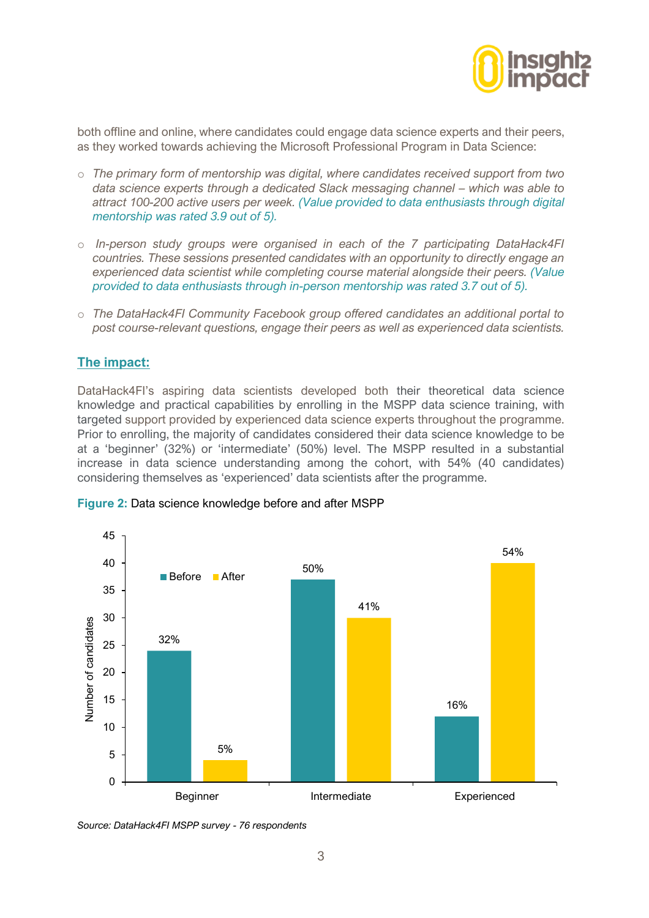

both offline and online, where candidates could engage data science experts and their peers, as they worked towards achieving the Microsoft Professional Program in Data Science:

- o *The primary form of mentorship was digital, where candidates received support from two data science experts through a dedicated Slack messaging channel – which was able to attract 100-200 active users per week. (Value provided to data enthusiasts through digital mentorship was rated 3.9 out of 5).*
- o *In-person study groups were organised in each of the 7 participating DataHack4FI countries. These sessions presented candidates with an opportunity to directly engage an experienced data scientist while completing course material alongside their peers. (Value provided to data enthusiasts through in-person mentorship was rated 3.7 out of 5).*
- o *The DataHack4FI Community Facebook group offered candidates an additional portal to post course-relevant questions, engage their peers as well as experienced data scientists.*

#### **The impact:**

DataHack4FI's aspiring data scientists developed both their theoretical data science knowledge and practical capabilities by enrolling in the MSPP data science training, with targeted support provided by experienced data science experts throughout the programme. Prior to enrolling, the majority of candidates considered their data science knowledge to be at a 'beginner' (32%) or 'intermediate' (50%) level. The MSPP resulted in a substantial increase in data science understanding among the cohort, with 54% (40 candidates) considering themselves as 'experienced' data scientists after the programme.



**Figure 2:** Data science knowledge before and after MSPP

*Source: DataHack4FI MSPP survey - 76 respondents*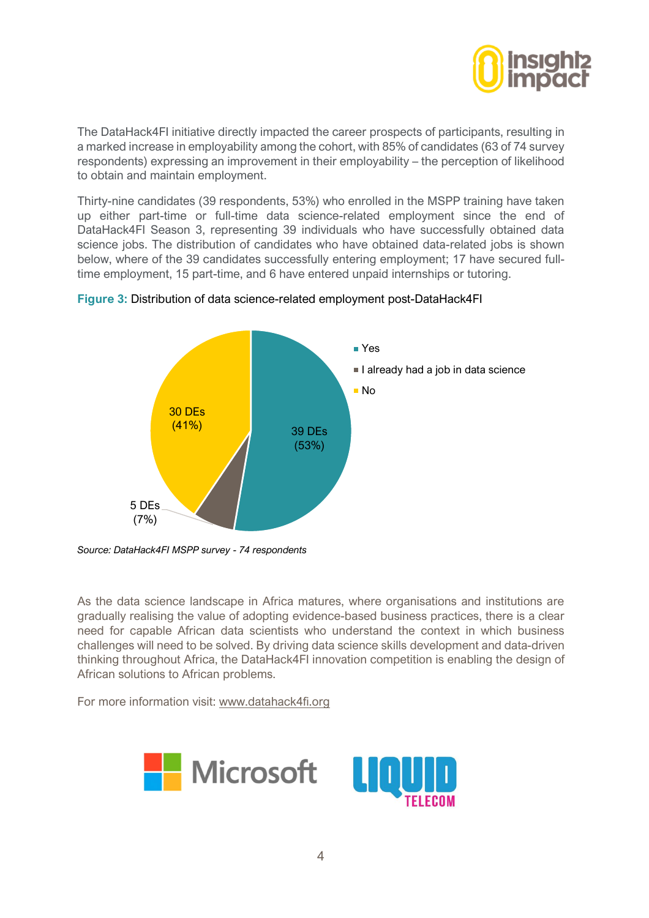

The DataHack4FI initiative directly impacted the career prospects of participants, resulting in a marked increase in employability among the cohort, with 85% of candidates (63 of 74 survey respondents) expressing an improvement in their employability – the perception of likelihood to obtain and maintain employment.

Thirty-nine candidates (39 respondents, 53%) who enrolled in the MSPP training have taken up either part-time or full-time data science-related employment since the end of DataHack4FI Season 3, representing 39 individuals who have successfully obtained data science jobs. The distribution of candidates who have obtained data-related jobs is shown below, where of the 39 candidates successfully entering employment; 17 have secured fulltime employment, 15 part-time, and 6 have entered unpaid internships or tutoring.



#### **Figure 3:** Distribution of data science-related employment post-DataHack4FI

*Source: DataHack4FI MSPP survey - 74 respondents*

As the data science landscape in Africa matures, where organisations and institutions are gradually realising the value of adopting evidence-based business practices, there is a clear need for capable African data scientists who understand the context in which business challenges will need to be solved. By driving data science skills development and data-driven thinking throughout Africa, the DataHack4FI innovation competition is enabling the design of African solutions to African problems.

For more information visit: [www.datahack4fi.org](http://www.datahack4fi.org/)